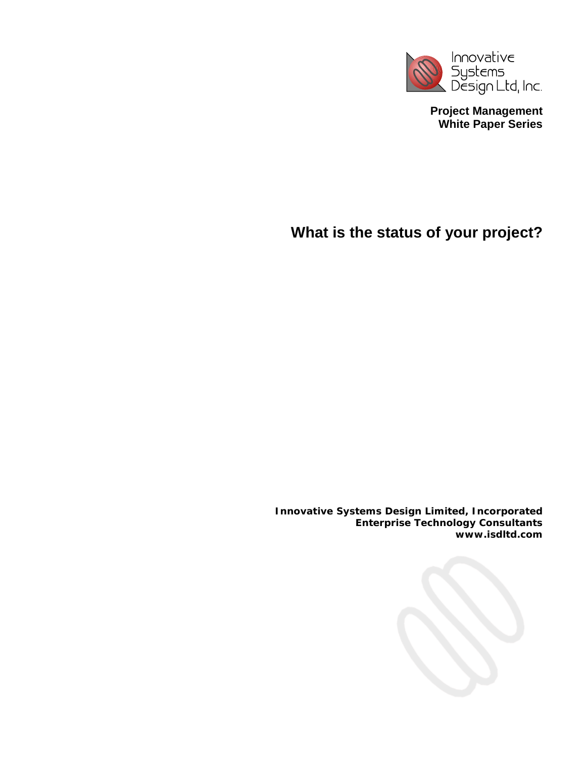

**Project Management White Paper Series** 

**What is the status of your project?** 

**Innovative Systems Design Limited, Incorporated Enterprise Technology Consultants www.isdltd.com** 

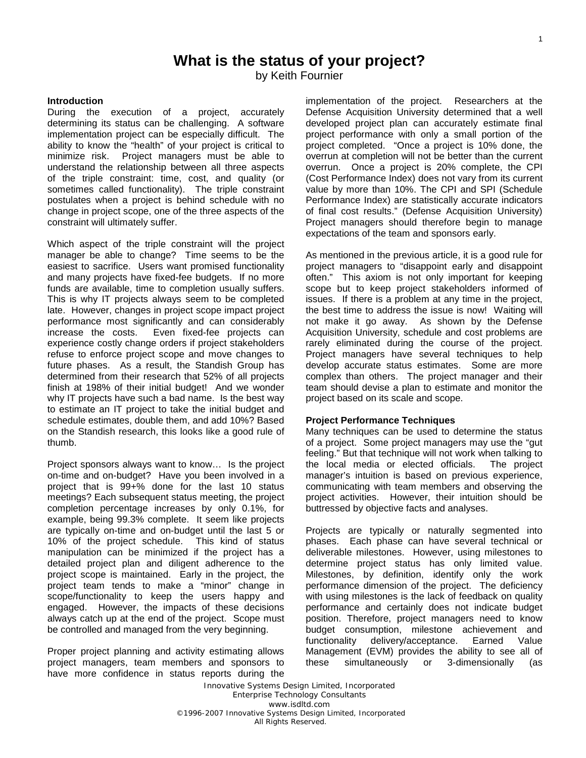# **What is the status of your project?**

by Keith Fournier

# **Introduction**

During the execution of a project, accurately determining its status can be challenging. A software implementation project can be especially difficult. The ability to know the "health" of your project is critical to minimize risk. Project managers must be able to understand the relationship between all three aspects of the triple constraint: time, cost, and quality (or sometimes called functionality). The triple constraint postulates when a project is behind schedule with no change in project scope, one of the three aspects of the constraint will ultimately suffer.

Which aspect of the triple constraint will the project manager be able to change? Time seems to be the easiest to sacrifice. Users want promised functionality and many projects have fixed-fee budgets. If no more funds are available, time to completion usually suffers. This is why IT projects always seem to be completed late. However, changes in project scope impact project performance most significantly and can considerably increase the costs. Even fixed-fee projects can experience costly change orders if project stakeholders refuse to enforce project scope and move changes to future phases. As a result, the Standish Group has determined from their research that 52% of all projects finish at 198% of their initial budget! And we wonder why IT projects have such a bad name. Is the best way to estimate an IT project to take the initial budget and schedule estimates, double them, and add 10%? Based on the Standish research, this looks like a good rule of thumb.

Project sponsors always want to know… Is the project on-time and on-budget? Have you been involved in a project that is 99+% done for the last 10 status meetings? Each subsequent status meeting, the project completion percentage increases by only 0.1%, for example, being 99.3% complete. It seem like projects are typically on-time and on-budget until the last 5 or 10% of the project schedule. This kind of status manipulation can be minimized if the project has a detailed project plan and diligent adherence to the project scope is maintained. Early in the project, the project team tends to make a "minor" change in scope/functionality to keep the users happy and engaged. However, the impacts of these decisions always catch up at the end of the project. Scope must be controlled and managed from the very beginning.

Proper project planning and activity estimating allows project managers, team members and sponsors to have more confidence in status reports during the

implementation of the project. Researchers at the Defense Acquisition University determined that a well developed project plan can accurately estimate final project performance with only a small portion of the project completed. "Once a project is 10% done, the overrun at completion will not be better than the current overrun. Once a project is 20% complete, the CPI (Cost Performance Index) does not vary from its current value by more than 10%. The CPI and SPI (Schedule Performance Index) are statistically accurate indicators of final cost results." (Defense Acquisition University) Project managers should therefore begin to manage expectations of the team and sponsors early.

As mentioned in the previous article, it is a good rule for project managers to "disappoint early and disappoint often." This axiom is not only important for keeping scope but to keep project stakeholders informed of issues. If there is a problem at any time in the project, the best time to address the issue is now! Waiting will not make it go away. As shown by the Defense Acquisition University, schedule and cost problems are rarely eliminated during the course of the project. Project managers have several techniques to help develop accurate status estimates. Some are more complex than others. The project manager and their team should devise a plan to estimate and monitor the project based on its scale and scope.

# **Project Performance Techniques**

Many techniques can be used to determine the status of a project. Some project managers may use the "gut feeling." But that technique will not work when talking to the local media or elected officials. The project manager's intuition is based on previous experience, communicating with team members and observing the project activities. However, their intuition should be buttressed by objective facts and analyses.

Projects are typically or naturally segmented into phases. Each phase can have several technical or deliverable milestones. However, using milestones to determine project status has only limited value. Milestones, by definition, identify only the work performance dimension of the project. The deficiency with using milestones is the lack of feedback on quality performance and certainly does not indicate budget position. Therefore, project managers need to know budget consumption, milestone achievement and functionality delivery/acceptance. Earned Value Management (EVM) provides the ability to see all of these simultaneously or 3-dimensionally (as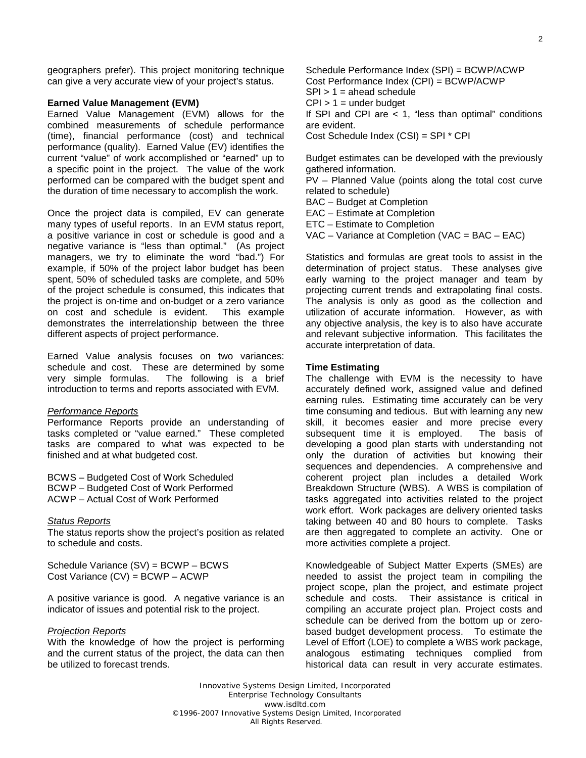geographers prefer). This project monitoring technique can give a very accurate view of your project's status.

## **Earned Value Management (EVM)**

Earned Value Management (EVM) allows for the combined measurements of schedule performance (time), financial performance (cost) and technical performance (quality). Earned Value (EV) identifies the current "value" of work accomplished or "earned" up to a specific point in the project. The value of the work performed can be compared with the budget spent and the duration of time necessary to accomplish the work.

Once the project data is compiled, EV can generate many types of useful reports. In an EVM status report, a positive variance in cost or schedule is good and a negative variance is "less than optimal." (As project managers, we try to eliminate the word "bad.") For example, if 50% of the project labor budget has been spent, 50% of scheduled tasks are complete, and 50% of the project schedule is consumed, this indicates that the project is on-time and on-budget or a zero variance on cost and schedule is evident. This example demonstrates the interrelationship between the three different aspects of project performance.

Earned Value analysis focuses on two variances: schedule and cost. These are determined by some very simple formulas. The following is a brief introduction to terms and reports associated with EVM.

#### *Performance Reports*

Performance Reports provide an understanding of tasks completed or "value earned." These completed tasks are compared to what was expected to be finished and at what budgeted cost.

BCWS – Budgeted Cost of Work Scheduled BCWP – Budgeted Cost of Work Performed ACWP – Actual Cost of Work Performed

#### *Status Reports*

The status reports show the project's position as related to schedule and costs.

Schedule Variance (SV) = BCWP – BCWS Cost Variance (CV) = BCWP – ACWP

A positive variance is good. A negative variance is an indicator of issues and potential risk to the project.

#### *Projection Reports*

With the knowledge of how the project is performing and the current status of the project, the data can then be utilized to forecast trends.

Schedule Performance Index (SPI) = BCWP/ACWP Cost Performance Index (CPI) = BCWP/ACWP  $SPI > 1 =$  ahead schedule  $CPI > 1 =$  under budget If SPI and CPI are  $<$  1, "less than optimal" conditions are evident. Cost Schedule Index (CSI) = SPI \* CPI

Budget estimates can be developed with the previously gathered information.

PV – Planned Value (points along the total cost curve related to schedule)

BAC – Budget at Completion

EAC – Estimate at Completion

ETC – Estimate to Completion

VAC – Variance at Completion (VAC = BAC – EAC)

Statistics and formulas are great tools to assist in the determination of project status. These analyses give early warning to the project manager and team by projecting current trends and extrapolating final costs. The analysis is only as good as the collection and utilization of accurate information. However, as with any objective analysis, the key is to also have accurate and relevant subjective information. This facilitates the accurate interpretation of data.

## **Time Estimating**

The challenge with EVM is the necessity to have accurately defined work, assigned value and defined earning rules. Estimating time accurately can be very time consuming and tedious. But with learning any new skill, it becomes easier and more precise every subsequent time it is employed. The basis of developing a good plan starts with understanding not only the duration of activities but knowing their sequences and dependencies. A comprehensive and coherent project plan includes a detailed Work Breakdown Structure (WBS). A WBS is compilation of tasks aggregated into activities related to the project work effort. Work packages are delivery oriented tasks taking between 40 and 80 hours to complete. Tasks are then aggregated to complete an activity. One or more activities complete a project.

Knowledgeable of Subject Matter Experts (SMEs) are needed to assist the project team in compiling the project scope, plan the project, and estimate project schedule and costs. Their assistance is critical in compiling an accurate project plan. Project costs and schedule can be derived from the bottom up or zerobased budget development process. To estimate the Level of Effort (LOE) to complete a WBS work package, analogous estimating techniques complied from historical data can result in very accurate estimates.

Innovative Systems Design Limited, Incorporated Enterprise Technology Consultants www.isdltd.com ©1996-2007 Innovative Systems Design Limited, Incorporated All Rights Reserved.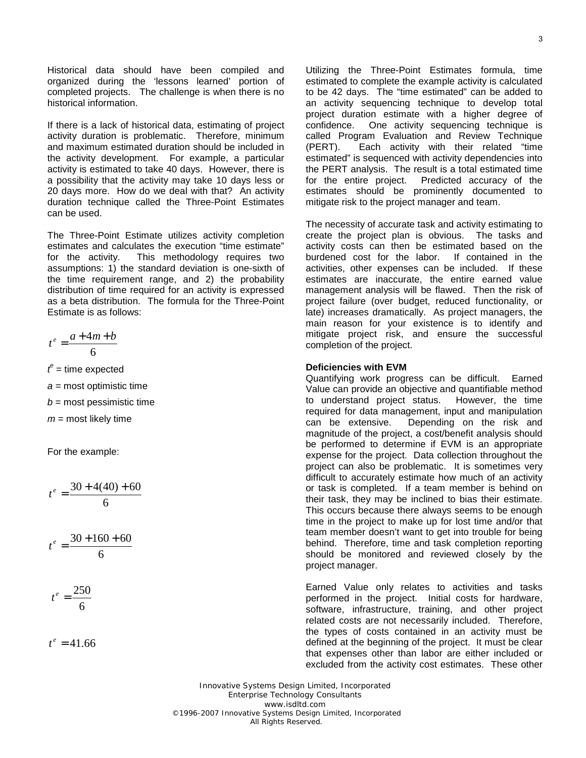Historical data should have been compiled and organized during the 'lessons learned' portion of completed projects. The challenge is when there is no historical information.

If there is a lack of historical data, estimating of project activity duration is problematic. Therefore, minimum and maximum estimated duration should be included in the activity development. For example, a particular activity is estimated to take 40 days. However, there is a possibility that the activity may take 10 days less or 20 days more. How do we deal with that? An activity duration technique called the Three-Point Estimates can be used.

The Three-Point Estimate utilizes activity completion estimates and calculates the execution "time estimate" for the activity. This methodology requires two assumptions: 1) the standard deviation is one-sixth of the time requirement range, and 2) the probability distribution of time required for an activity is expressed as a beta distribution. The formula for the Three-Point Estimate is as follows:

$$
t^e = \frac{a + 4m + b}{6}
$$

 $t^e$  = time expected

*a =* most optimistic time

*b* = most pessimistic time

*m* = most likely time

For the example:

$$
t^e = \frac{30 + 4(40) + 60}{6}
$$

$$
t^e = \frac{30 + 160 + 60}{6}
$$

$$
t^e = \frac{250}{6}
$$

$$
t^e=41.66
$$

Utilizing the Three-Point Estimates formula, time estimated to complete the example activity is calculated to be 42 days. The "time estimated" can be added to an activity sequencing technique to develop total project duration estimate with a higher degree of confidence. One activity sequencing technique is called Program Evaluation and Review Technique (PERT). Each activity with their related "time estimated" is sequenced with activity dependencies into the PERT analysis. The result is a total estimated time for the entire project. Predicted accuracy of the estimates should be prominently documented to mitigate risk to the project manager and team.

The necessity of accurate task and activity estimating to create the project plan is obvious. The tasks and activity costs can then be estimated based on the burdened cost for the labor. If contained in the activities, other expenses can be included. If these estimates are inaccurate, the entire earned value management analysis will be flawed. Then the risk of project failure (over budget, reduced functionality, or late) increases dramatically. As project managers, the main reason for your existence is to identify and mitigate project risk, and ensure the successful completion of the project.

# **Deficiencies with EVM**

Quantifying work progress can be difficult. Earned Value can provide an objective and quantifiable method to understand project status. However, the time required for data management, input and manipulation can be extensive. Depending on the risk and magnitude of the project, a cost/benefit analysis should be performed to determine if EVM is an appropriate expense for the project. Data collection throughout the project can also be problematic. It is sometimes very difficult to accurately estimate how much of an activity or task is completed. If a team member is behind on their task, they may be inclined to bias their estimate. This occurs because there always seems to be enough time in the project to make up for lost time and/or that team member doesn't want to get into trouble for being behind. Therefore, time and task completion reporting should be monitored and reviewed closely by the project manager.

Earned Value only relates to activities and tasks performed in the project. Initial costs for hardware, software, infrastructure, training, and other project related costs are not necessarily included. Therefore, the types of costs contained in an activity must be defined at the beginning of the project. It must be clear that expenses other than labor are either included or excluded from the activity cost estimates. These other

Innovative Systems Design Limited, Incorporated Enterprise Technology Consultants www.isdltd.com ©1996-2007 Innovative Systems Design Limited, Incorporated All Rights Reserved.